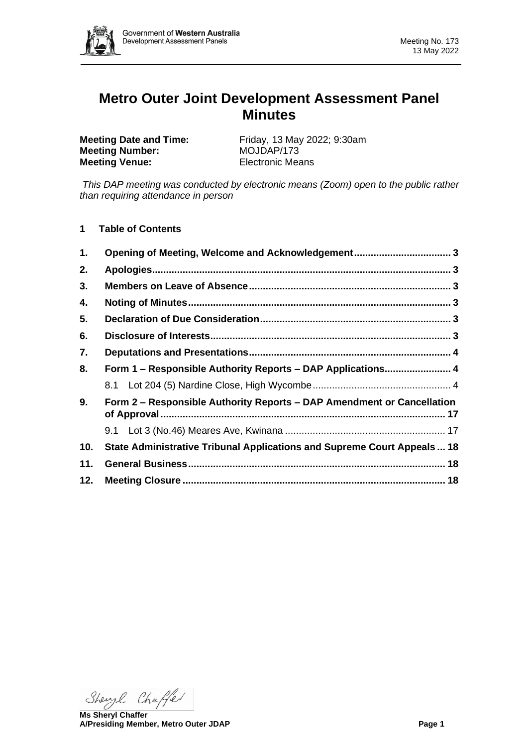

# **Metro Outer Joint Development Assessment Panel Minutes**

**Meeting Number:** MOJDAP/173 **Meeting Venue:** Electronic Means

**Meeting Date and Time:** Friday, 13 May 2022; 9:30am

*This DAP meeting was conducted by electronic means (Zoom) open to the public rather than requiring attendance in person*

**1 Table of Contents**

| 1.             | Opening of Meeting, Welcome and Acknowledgement 3                        |  |
|----------------|--------------------------------------------------------------------------|--|
| 2.             |                                                                          |  |
| 3.             |                                                                          |  |
| 4.             |                                                                          |  |
| 5.             |                                                                          |  |
| 6.             |                                                                          |  |
| 7.             |                                                                          |  |
| 8.             | Form 1 - Responsible Authority Reports - DAP Applications 4              |  |
|                |                                                                          |  |
| 9 <sub>1</sub> | Form 2 – Responsible Authority Reports – DAP Amendment or Cancellation   |  |
|                |                                                                          |  |
| 10.            | State Administrative Tribunal Applications and Supreme Court Appeals  18 |  |
| 11.            |                                                                          |  |
| 12.            |                                                                          |  |

Shengl Chaffer

**Ms Sheryl Chaffer A/Presiding Member, Metro Outer JDAP Page 1**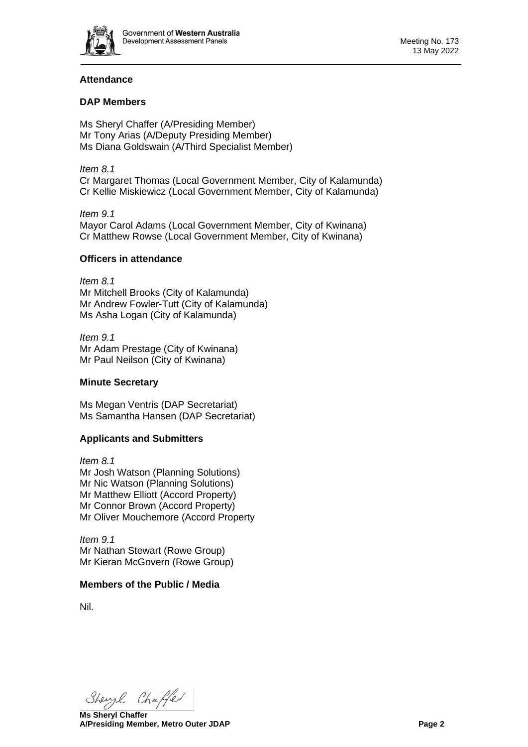

# **Attendance**

# **DAP Members**

Ms Sheryl Chaffer (A/Presiding Member) Mr Tony Arias (A/Deputy Presiding Member) Ms Diana Goldswain (A/Third Specialist Member)

*Item 8.1* Cr Margaret Thomas (Local Government Member, City of Kalamunda) Cr Kellie Miskiewicz (Local Government Member, City of Kalamunda)

*Item 9.1* Mayor Carol Adams (Local Government Member, City of Kwinana) Cr Matthew Rowse (Local Government Member, City of Kwinana)

## **Officers in attendance**

*Item 8.1* Mr Mitchell Brooks (City of Kalamunda) Mr Andrew Fowler-Tutt (City of Kalamunda) Ms Asha Logan (City of Kalamunda)

*Item 9.1* Mr Adam Prestage (City of Kwinana) Mr Paul Neilson (City of Kwinana)

## **Minute Secretary**

Ms Megan Ventris (DAP Secretariat) Ms Samantha Hansen (DAP Secretariat)

## **Applicants and Submitters**

*Item 8.1* Mr Josh Watson (Planning Solutions) Mr Nic Watson (Planning Solutions) Mr Matthew Elliott (Accord Property) Mr Connor Brown (Accord Property) Mr Oliver Mouchemore (Accord Property

*Item 9.1* Mr Nathan Stewart (Rowe Group) Mr Kieran McGovern (Rowe Group)

## **Members of the Public / Media**

Nil.

Shengl Chaffer

**Ms Sheryl Chaffer A/Presiding Member, Metro Outer JDAP Page 2**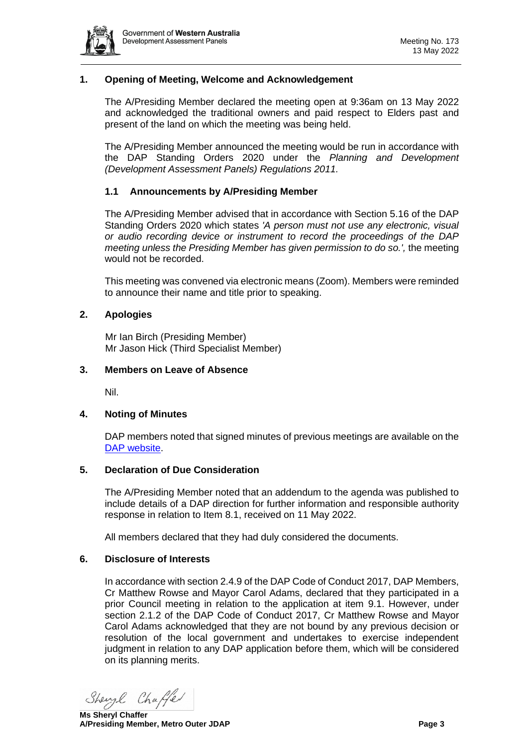

## <span id="page-2-0"></span>**1. Opening of Meeting, Welcome and Acknowledgement**

The A/Presiding Member declared the meeting open at 9:36am on 13 May 2022 and acknowledged the traditional owners and paid respect to Elders past and present of the land on which the meeting was being held.

The A/Presiding Member announced the meeting would be run in accordance with the DAP Standing Orders 2020 under the *Planning and Development (Development Assessment Panels) Regulations 2011.*

## **1.1 Announcements by A/Presiding Member**

The A/Presiding Member advised that in accordance with Section 5.16 of the DAP Standing Orders 2020 which states *'A person must not use any electronic, visual or audio recording device or instrument to record the proceedings of the DAP meeting unless the Presiding Member has given permission to do so.',* the meeting would not be recorded.

This meeting was convened via electronic means (Zoom). Members were reminded to announce their name and title prior to speaking.

#### <span id="page-2-1"></span>**2. Apologies**

Mr Ian Birch (Presiding Member) Mr Jason Hick (Third Specialist Member)

#### <span id="page-2-2"></span>**3. Members on Leave of Absence**

Nil.

#### <span id="page-2-3"></span>**4. Noting of Minutes**

DAP members noted that signed minutes of previous meetings are available on the [DAP website.](https://www.dplh.wa.gov.au/about/development-assessment-panels/daps-agendas-and-minutes)

#### <span id="page-2-4"></span>**5. Declaration of Due Consideration**

The A/Presiding Member noted that an addendum to the agenda was published to include details of a DAP direction for further information and responsible authority response in relation to Item 8.1, received on 11 May 2022.

All members declared that they had duly considered the documents.

#### <span id="page-2-5"></span>**6. Disclosure of Interests**

In accordance with section 2.4.9 of the DAP Code of Conduct 2017, DAP Members, Cr Matthew Rowse and Mayor Carol Adams, declared that they participated in a prior Council meeting in relation to the application at item 9.1. However, under section 2.1.2 of the DAP Code of Conduct 2017, Cr Matthew Rowse and Mayor Carol Adams acknowledged that they are not bound by any previous decision or resolution of the local government and undertakes to exercise independent judgment in relation to any DAP application before them, which will be considered on its planning merits.

Shengl Chaffer

**Ms Sheryl Chaffer A/Presiding Member, Metro Outer JDAP Page 3**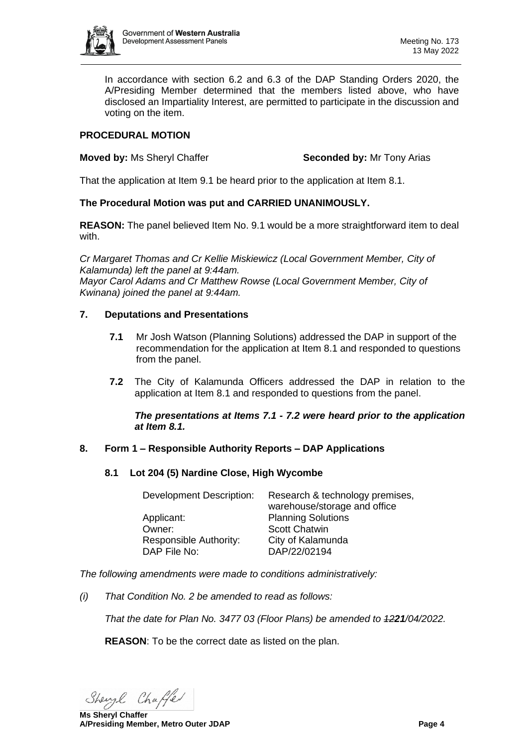

In accordance with section 6.2 and 6.3 of the DAP Standing Orders 2020, the A/Presiding Member determined that the members listed above, who have disclosed an Impartiality Interest, are permitted to participate in the discussion and voting on the item.

# **PROCEDURAL MOTION**

## **Moved by: Ms Sheryl Chaffer <b>Seconded by:** Mr Tony Arias

That the application at Item 9.1 be heard prior to the application at Item 8.1.

# **The Procedural Motion was put and CARRIED UNANIMOUSLY.**

**REASON:** The panel believed Item No. 9.1 would be a more straightforward item to deal with.

*Cr Margaret Thomas and Cr Kellie Miskiewicz (Local Government Member, City of Kalamunda) left the panel at 9:44am. Mayor Carol Adams and Cr Matthew Rowse (Local Government Member, City of Kwinana) joined the panel at 9:44am.*

# <span id="page-3-0"></span>**7. Deputations and Presentations**

- **7.1** Mr Josh Watson (Planning Solutions) addressed the DAP in support of the recommendation for the application at Item 8.1 and responded to questions from the panel.
- **7.2** The City of Kalamunda Officers addressed the DAP in relation to the application at Item 8.1 and responded to questions from the panel.

## *The presentations at Items 7.1 - 7.2 were heard prior to the application at Item 8.1.*

# <span id="page-3-2"></span><span id="page-3-1"></span>**8. Form 1 – Responsible Authority Reports – DAP Applications**

## **8.1 Lot 204 (5) Nardine Close, High Wycombe**

| Development Description: | Research & technology premises,<br>warehouse/storage and office |
|--------------------------|-----------------------------------------------------------------|
| Applicant:               | <b>Planning Solutions</b>                                       |
| Owner:                   | <b>Scott Chatwin</b>                                            |
| Responsible Authority:   | City of Kalamunda                                               |
| DAP File No:             | DAP/22/02194                                                    |

*The following amendments were made to conditions administratively:*

*(i) That Condition No. 2 be amended to read as follows:*

*That the date for Plan No. 3477 03 (Floor Plans) be amended to 1221/04/2022.*

**REASON**: To be the correct date as listed on the plan.

Shengl Chaffer

**Ms Sheryl Chaffer A/Presiding Member, Metro Outer JDAP Page 4**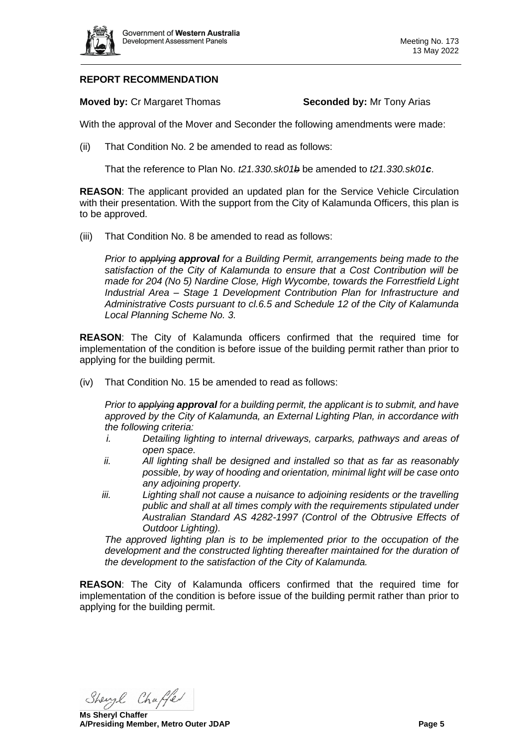

# **REPORT RECOMMENDATION**

**Moved by: Cr Margaret Thomas <b>Seconded by:** Mr Tony Arias

With the approval of the Mover and Seconder the following amendments were made:

(ii) That Condition No. 2 be amended to read as follows:

That the reference to Plan No. *t21.330.sk01b* be amended to *t21.330.sk01c*.

**REASON**: The applicant provided an updated plan for the Service Vehicle Circulation with their presentation. With the support from the City of Kalamunda Officers, this plan is to be approved.

(iii) That Condition No. 8 be amended to read as follows:

*Prior to applying approval for a Building Permit, arrangements being made to the satisfaction of the City of Kalamunda to ensure that a Cost Contribution will be made for 204 (No 5) Nardine Close, High Wycombe, towards the Forrestfield Light Industrial Area – Stage 1 Development Contribution Plan for Infrastructure and Administrative Costs pursuant to cl.6.5 and Schedule 12 of the City of Kalamunda Local Planning Scheme No. 3.*

**REASON**: The City of Kalamunda officers confirmed that the required time for implementation of the condition is before issue of the building permit rather than prior to applying for the building permit.

(iv) That Condition No. 15 be amended to read as follows:

*Prior to applying approval for a building permit, the applicant is to submit, and have approved by the City of Kalamunda, an External Lighting Plan, in accordance with the following criteria:*

- *i. Detailing lighting to internal driveways, carparks, pathways and areas of open space.*
- *ii. All lighting shall be designed and installed so that as far as reasonably possible, by way of hooding and orientation, minimal light will be case onto any adjoining property.*
- *iii. Lighting shall not cause a nuisance to adjoining residents or the travelling public and shall at all times comply with the requirements stipulated under Australian Standard AS 4282-1997 (Control of the Obtrusive Effects of Outdoor Lighting).*

*The approved lighting plan is to be implemented prior to the occupation of the development and the constructed lighting thereafter maintained for the duration of the development to the satisfaction of the City of Kalamunda.*

**REASON**: The City of Kalamunda officers confirmed that the required time for implementation of the condition is before issue of the building permit rather than prior to applying for the building permit.

Shengl Chaffer

**Ms Sheryl Chaffer A/Presiding Member, Metro Outer JDAP Page 5**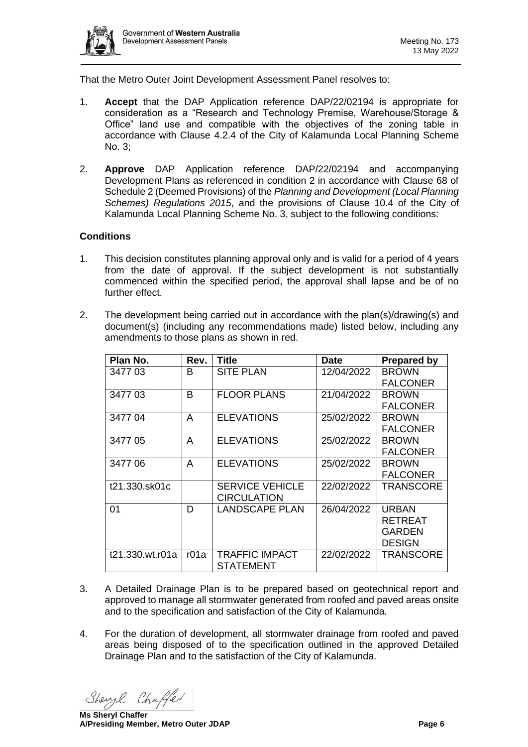

That the Metro Outer Joint Development Assessment Panel resolves to:

- 1. **Accept** that the DAP Application reference DAP/22/02194 is appropriate for consideration as a "Research and Technology Premise, Warehouse/Storage & Office" land use and compatible with the objectives of the zoning table in accordance with Clause 4.2.4 of the City of Kalamunda Local Planning Scheme No. 3;
- 2. **Approve** DAP Application reference DAP/22/02194 and accompanying Development Plans as referenced in condition 2 in accordance with Clause 68 of Schedule 2 (Deemed Provisions) of the *Planning and Development (Local Planning Schemes) Regulations 2015*, and the provisions of Clause 10.4 of the City of Kalamunda Local Planning Scheme No. 3, subject to the following conditions:

## **Conditions**

- 1. This decision constitutes planning approval only and is valid for a period of 4 years from the date of approval. If the subject development is not substantially commenced within the specified period, the approval shall lapse and be of no further effect.
- 2. The development being carried out in accordance with the plan(s)/drawing(s) and document(s) (including any recommendations made) listed below, including any amendments to those plans as shown in red.

| Plan No.        | Rev. | Title                  | <b>Date</b> | <b>Prepared by</b> |
|-----------------|------|------------------------|-------------|--------------------|
| 3477 03         | B    | <b>SITE PLAN</b>       | 12/04/2022  | <b>BROWN</b>       |
|                 |      |                        |             | <b>FALCONER</b>    |
| 347703          | B    | <b>FLOOR PLANS</b>     | 21/04/2022  | <b>BROWN</b>       |
|                 |      |                        |             | <b>FALCONER</b>    |
| 3477 04         | A    | <b>ELEVATIONS</b>      | 25/02/2022  | <b>BROWN</b>       |
|                 |      |                        |             | <b>FALCONER</b>    |
| 3477 05         | A    | <b>ELEVATIONS</b>      | 25/02/2022  | <b>BROWN</b>       |
|                 |      |                        |             | <b>FALCONER</b>    |
| 3477 06         | A    | <b>ELEVATIONS</b>      | 25/02/2022  | <b>BROWN</b>       |
|                 |      |                        |             | <b>FALCONER</b>    |
| t21.330.sk01c   |      | <b>SERVICE VEHICLE</b> | 22/02/2022  | <b>TRANSCORE</b>   |
|                 |      | <b>CIRCULATION</b>     |             |                    |
| 01              | D    | <b>LANDSCAPE PLAN</b>  | 26/04/2022  | <b>URBAN</b>       |
|                 |      |                        |             | <b>RETREAT</b>     |
|                 |      |                        |             | GARDEN             |
|                 |      |                        |             | <b>DESIGN</b>      |
| t21.330.wt.r01a | r01a | TRAFFIC IMPACT         | 22/02/2022  | <b>TRANSCORE</b>   |
|                 |      | STATEMENT              |             |                    |

- 3. A Detailed Drainage Plan is to be prepared based on geotechnical report and approved to manage all stormwater generated from roofed and paved areas onsite and to the specification and satisfaction of the City of Kalamunda.
- 4. For the duration of development, all stormwater drainage from roofed and paved areas being disposed of to the specification outlined in the approved Detailed Drainage Plan and to the satisfaction of the City of Kalamunda.

Shengl Chaffer

**Ms Sheryl Chaffer A/Presiding Member, Metro Outer JDAP Page 6**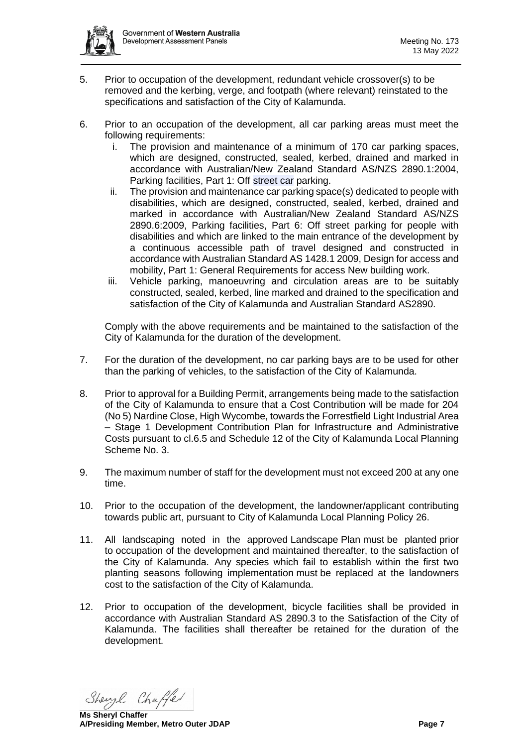

- 5. Prior to occupation of the development, redundant vehicle crossover(s) to be removed and the kerbing, verge, and footpath (where relevant) reinstated to the specifications and satisfaction of the City of Kalamunda.
- 6. Prior to an occupation of the development, all car parking areas must meet the following requirements:
	- i. The provision and maintenance of a minimum of 170 car parking spaces, which are designed, constructed, sealed, kerbed, drained and marked in accordance with Australian/New Zealand Standard AS/NZS 2890.1:2004, Parking facilities, Part 1: Off street car parking.
	- ii. The provision and maintenance car parking space(s) dedicated to people with disabilities, which are designed, constructed, sealed, kerbed, drained and marked in accordance with Australian/New Zealand Standard AS/NZS 2890.6:2009, Parking facilities, Part 6: Off street parking for people with disabilities and which are linked to the main entrance of the development by a continuous accessible path of travel designed and constructed in accordance with Australian Standard AS 1428.1 2009, Design for access and mobility, Part 1: General Requirements for access New building work.
	- iii. Vehicle parking, manoeuvring and circulation areas are to be suitably constructed, sealed, kerbed, line marked and drained to the specification and satisfaction of the City of Kalamunda and Australian Standard AS2890.

Comply with the above requirements and be maintained to the satisfaction of the City of Kalamunda for the duration of the development.

- 7. For the duration of the development, no car parking bays are to be used for other than the parking of vehicles, to the satisfaction of the City of Kalamunda.
- 8. Prior to approval for a Building Permit, arrangements being made to the satisfaction of the City of Kalamunda to ensure that a Cost Contribution will be made for 204 (No 5) Nardine Close, High Wycombe, towards the Forrestfield Light Industrial Area – Stage 1 Development Contribution Plan for Infrastructure and Administrative Costs pursuant to cl.6.5 and Schedule 12 of the City of Kalamunda Local Planning Scheme No. 3.
- 9. The maximum number of staff for the development must not exceed 200 at any one time.
- 10. Prior to the occupation of the development, the landowner/applicant contributing towards public art, pursuant to City of Kalamunda Local Planning Policy 26.
- 11. All landscaping noted in the approved Landscape Plan must be planted prior to occupation of the development and maintained thereafter, to the satisfaction of the City of Kalamunda. Any species which fail to establish within the first two planting seasons following implementation must be replaced at the landowners cost to the satisfaction of the City of Kalamunda.
- 12. Prior to occupation of the development, bicycle facilities shall be provided in accordance with Australian Standard AS 2890.3 to the Satisfaction of the City of Kalamunda. The facilities shall thereafter be retained for the duration of the development.

Shengl Chaffer

**Ms Sheryl Chaffer A/Presiding Member, Metro Outer JDAP Page 7**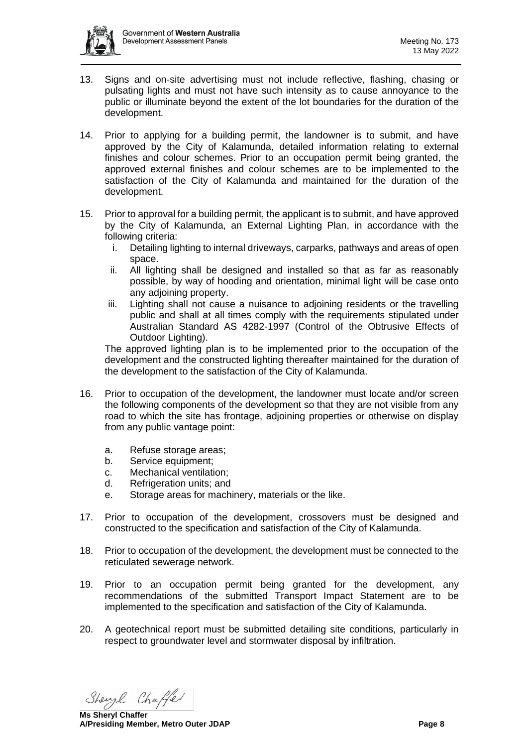

- 13. Signs and on-site advertising must not include reflective, flashing, chasing or pulsating lights and must not have such intensity as to cause annoyance to the public or illuminate beyond the extent of the lot boundaries for the duration of the development.
- 14. Prior to applying for a building permit, the landowner is to submit, and have approved by the City of Kalamunda, detailed information relating to external finishes and colour schemes. Prior to an occupation permit being granted, the approved external finishes and colour schemes are to be implemented to the satisfaction of the City of Kalamunda and maintained for the duration of the development.
- 15. Prior to approval for a building permit, the applicant is to submit, and have approved by the City of Kalamunda, an External Lighting Plan, in accordance with the following criteria:
	- i. Detailing lighting to internal driveways, carparks, pathways and areas of open space.
	- ii. All lighting shall be designed and installed so that as far as reasonably possible, by way of hooding and orientation, minimal light will be case onto any adjoining property.
	- iii. Lighting shall not cause a nuisance to adjoining residents or the travelling public and shall at all times comply with the requirements stipulated under Australian Standard AS 4282-1997 (Control of the Obtrusive Effects of Outdoor Lighting).

The approved lighting plan is to be implemented prior to the occupation of the development and the constructed lighting thereafter maintained for the duration of the development to the satisfaction of the City of Kalamunda.

- 16. Prior to occupation of the development, the landowner must locate and/or screen the following components of the development so that they are not visible from any road to which the site has frontage, adjoining properties or otherwise on display from any public vantage point:
	- a. Refuse storage areas;
	- b. Service equipment;
	- c. Mechanical ventilation;
	- d. Refrigeration units; and
	- e. Storage areas for machinery, materials or the like.
- 17. Prior to occupation of the development, crossovers must be designed and constructed to the specification and satisfaction of the City of Kalamunda.
- 18. Prior to occupation of the development, the development must be connected to the reticulated sewerage network.
- 19. Prior to an occupation permit being granted for the development, any recommendations of the submitted Transport Impact Statement are to be implemented to the specification and satisfaction of the City of Kalamunda.
- 20. A geotechnical report must be submitted detailing site conditions, particularly in respect to groundwater level and stormwater disposal by infiltration.

Shengl Chaffer

**Ms Sheryl Chaffer A/Presiding Member, Metro Outer JDAP Page 8**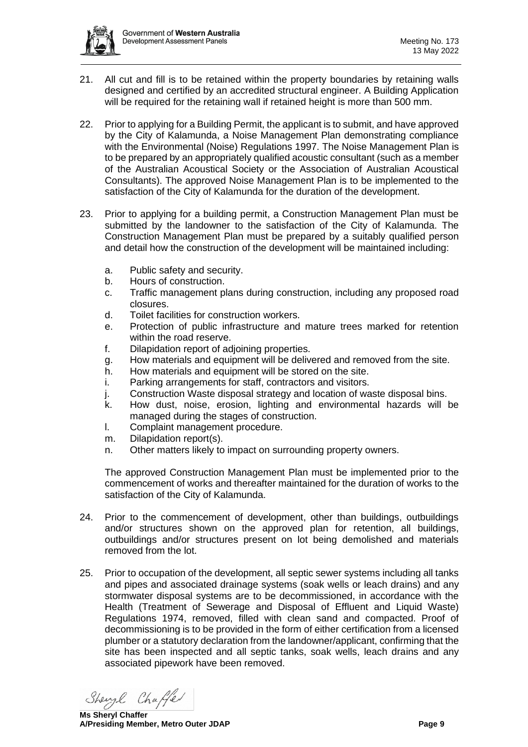

- 21. All cut and fill is to be retained within the property boundaries by retaining walls designed and certified by an accredited structural engineer. A Building Application will be required for the retaining wall if retained height is more than 500 mm.
- 22. Prior to applying for a Building Permit, the applicant is to submit, and have approved by the City of Kalamunda, a Noise Management Plan demonstrating compliance with the Environmental (Noise) Regulations 1997. The Noise Management Plan is to be prepared by an appropriately qualified acoustic consultant (such as a member of the Australian Acoustical Society or the Association of Australian Acoustical Consultants). The approved Noise Management Plan is to be implemented to the satisfaction of the City of Kalamunda for the duration of the development.
- 23. Prior to applying for a building permit, a Construction Management Plan must be submitted by the landowner to the satisfaction of the City of Kalamunda. The Construction Management Plan must be prepared by a suitably qualified person and detail how the construction of the development will be maintained including:
	- a. Public safety and security.
	- b. Hours of construction.
	- c. Traffic management plans during construction, including any proposed road closures.
	- d. Toilet facilities for construction workers.
	- e. Protection of public infrastructure and mature trees marked for retention within the road reserve.
	- f. Dilapidation report of adjoining properties.
	- g. How materials and equipment will be delivered and removed from the site.
	- h. How materials and equipment will be stored on the site.
	- i. Parking arrangements for staff, contractors and visitors.
	- j. Construction Waste disposal strategy and location of waste disposal bins.
	- k. How dust, noise, erosion, lighting and environmental hazards will be managed during the stages of construction.
	- l. Complaint management procedure.
	- m. Dilapidation report(s).
	- n. Other matters likely to impact on surrounding property owners.

The approved Construction Management Plan must be implemented prior to the commencement of works and thereafter maintained for the duration of works to the satisfaction of the City of Kalamunda.

- 24. Prior to the commencement of development, other than buildings, outbuildings and/or structures shown on the approved plan for retention, all buildings, outbuildings and/or structures present on lot being demolished and materials removed from the lot.
- 25. Prior to occupation of the development, all septic sewer systems including all tanks and pipes and associated drainage systems (soak wells or leach drains) and any stormwater disposal systems are to be decommissioned, in accordance with the Health (Treatment of Sewerage and Disposal of Effluent and Liquid Waste) Regulations 1974, removed, filled with clean sand and compacted. Proof of decommissioning is to be provided in the form of either certification from a licensed plumber or a statutory declaration from the landowner/applicant, confirming that the site has been inspected and all septic tanks, soak wells, leach drains and any associated pipework have been removed.

Shengl Chaffer

**Ms Sheryl Chaffer A/Presiding Member, Metro Outer JDAP Page 9**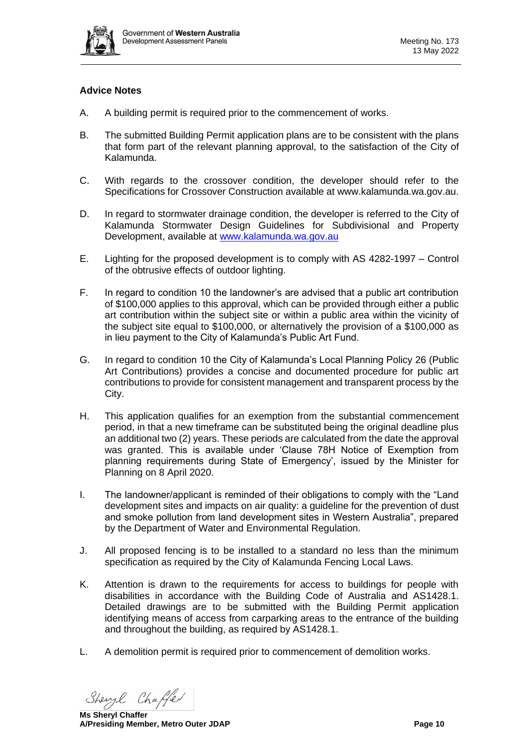

# **Advice Notes**

- A. A building permit is required prior to the commencement of works.
- B. The submitted Building Permit application plans are to be consistent with the plans that form part of the relevant planning approval, to the satisfaction of the City of Kalamunda.
- C. With regards to the crossover condition, the developer should refer to the Specifications for Crossover Construction available at www.kalamunda.wa.gov.au.
- D. In regard to stormwater drainage condition, the developer is referred to the City of Kalamunda Stormwater Design Guidelines for Subdivisional and Property Development, available at [www.kalamunda.wa.gov.au](http://www.kalamunda.wa.gov.au/)
- E. Lighting for the proposed development is to comply with AS 4282-1997 Control of the obtrusive effects of outdoor lighting.
- F. In regard to condition 10 the landowner's are advised that a public art contribution of \$100,000 applies to this approval, which can be provided through either a public art contribution within the subject site or within a public area within the vicinity of the subject site equal to \$100,000, or alternatively the provision of a \$100,000 as in lieu payment to the City of Kalamunda's Public Art Fund.
- G. In regard to condition 10 the City of Kalamunda's Local Planning Policy 26 (Public Art Contributions) provides a concise and documented procedure for public art contributions to provide for consistent management and transparent process by the City.
- H. This application qualifies for an exemption from the substantial commencement period, in that a new timeframe can be substituted being the original deadline plus an additional two (2) years. These periods are calculated from the date the approval was granted. This is available under 'Clause 78H Notice of Exemption from planning requirements during State of Emergency', issued by the Minister for Planning on 8 April 2020.
- I. The landowner/applicant is reminded of their obligations to comply with the "Land development sites and impacts on air quality: a guideline for the prevention of dust and smoke pollution from land development sites in Western Australia", prepared by the Department of Water and Environmental Regulation.
- J. All proposed fencing is to be installed to a standard no less than the minimum specification as required by the City of Kalamunda Fencing Local Laws.
- K. Attention is drawn to the requirements for access to buildings for people with disabilities in accordance with the Building Code of Australia and AS1428.1. Detailed drawings are to be submitted with the Building Permit application identifying means of access from carparking areas to the entrance of the building and throughout the building, as required by AS1428.1.
- L. A demolition permit is required prior to commencement of demolition works.

Shengl Chaffer

**Ms Sheryl Chaffer A/Presiding Member, Metro Outer JDAP Page 10**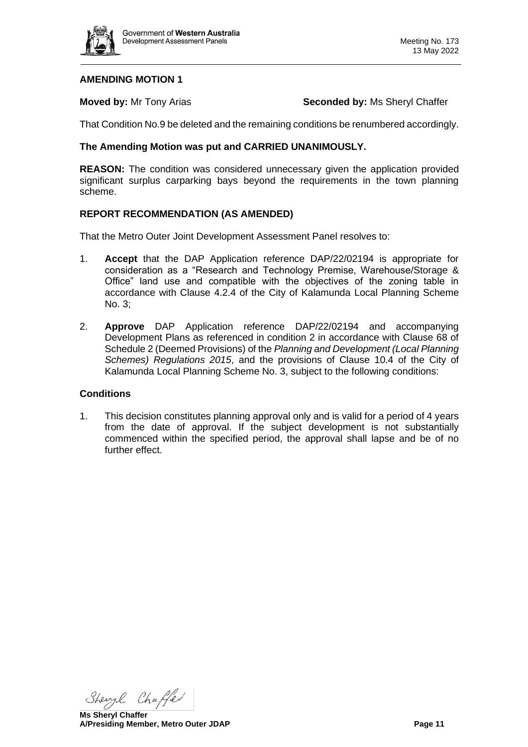

#### **AMENDING MOTION 1**

**Moved by:** Mr Tony Arias **Seconded by:** Ms Sheryl Chaffer

That Condition No.9 be deleted and the remaining conditions be renumbered accordingly.

## **The Amending Motion was put and CARRIED UNANIMOUSLY.**

**REASON:** The condition was considered unnecessary given the application provided significant surplus carparking bays beyond the requirements in the town planning scheme.

## **REPORT RECOMMENDATION (AS AMENDED)**

That the Metro Outer Joint Development Assessment Panel resolves to:

- 1. **Accept** that the DAP Application reference DAP/22/02194 is appropriate for consideration as a "Research and Technology Premise, Warehouse/Storage & Office" land use and compatible with the objectives of the zoning table in accordance with Clause 4.2.4 of the City of Kalamunda Local Planning Scheme No. 3;
- 2. **Approve** DAP Application reference DAP/22/02194 and accompanying Development Plans as referenced in condition 2 in accordance with Clause 68 of Schedule 2 (Deemed Provisions) of the *Planning and Development (Local Planning Schemes) Regulations 2015*, and the provisions of Clause 10.4 of the City of Kalamunda Local Planning Scheme No. 3, subject to the following conditions:

#### **Conditions**

1. This decision constitutes planning approval only and is valid for a period of 4 years from the date of approval. If the subject development is not substantially commenced within the specified period, the approval shall lapse and be of no further effect.

Shengl Chaffer

**Ms Sheryl Chaffer A/Presiding Member, Metro Outer JDAP Page 11**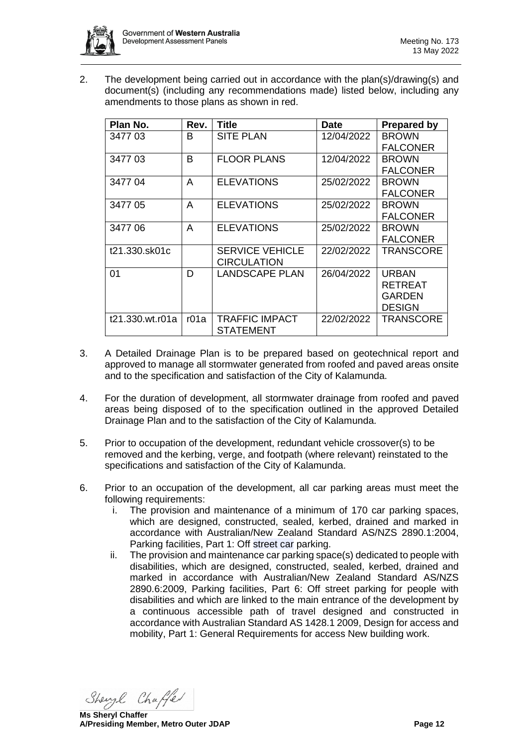

2. The development being carried out in accordance with the plan(s)/drawing(s) and document(s) (including any recommendations made) listed below, including any amendments to those plans as shown in red.

| Plan No.        | Rev. | <b>Title</b>           | <b>Date</b> | <b>Prepared by</b> |
|-----------------|------|------------------------|-------------|--------------------|
| 3477 03         | B    | <b>SITE PLAN</b>       | 12/04/2022  | <b>BROWN</b>       |
|                 |      |                        |             | <b>FALCONER</b>    |
| 347703          | B    | <b>FLOOR PLANS</b>     | 12/04/2022  | <b>BROWN</b>       |
|                 |      |                        |             | <b>FALCONER</b>    |
| 3477 04         | A    | <b>ELEVATIONS</b>      | 25/02/2022  | <b>BROWN</b>       |
|                 |      |                        |             | <b>FALCONER</b>    |
| 3477 05         | A    | <b>ELEVATIONS</b>      | 25/02/2022  | <b>BROWN</b>       |
|                 |      |                        |             | <b>FALCONER</b>    |
| 3477 06         | A    | <b>ELEVATIONS</b>      | 25/02/2022  | <b>BROWN</b>       |
|                 |      |                        |             | <b>FALCONER</b>    |
| t21.330.sk01c   |      | <b>SERVICE VEHICLE</b> | 22/02/2022  | TRANSCORE          |
|                 |      | <b>CIRCULATION</b>     |             |                    |
| 01              | D    | <b>LANDSCAPE PLAN</b>  | 26/04/2022  | <b>URBAN</b>       |
|                 |      |                        |             | RETREAT            |
|                 |      |                        |             | GARDEN             |
|                 |      |                        |             | DESIGN             |
| t21.330.wt.r01a | r01a | TRAFFIC IMPACT         | 22/02/2022  | TRANSCORE          |
|                 |      | <b>STATEMENT</b>       |             |                    |

- 3. A Detailed Drainage Plan is to be prepared based on geotechnical report and approved to manage all stormwater generated from roofed and paved areas onsite and to the specification and satisfaction of the City of Kalamunda.
- 4. For the duration of development, all stormwater drainage from roofed and paved areas being disposed of to the specification outlined in the approved Detailed Drainage Plan and to the satisfaction of the City of Kalamunda.
- 5. Prior to occupation of the development, redundant vehicle crossover(s) to be removed and the kerbing, verge, and footpath (where relevant) reinstated to the specifications and satisfaction of the City of Kalamunda.
- 6. Prior to an occupation of the development, all car parking areas must meet the following requirements:
	- i. The provision and maintenance of a minimum of 170 car parking spaces, which are designed, constructed, sealed, kerbed, drained and marked in accordance with Australian/New Zealand Standard AS/NZS 2890.1:2004, Parking facilities, Part 1: Off street car parking.
	- ii. The provision and maintenance car parking space(s) dedicated to people with disabilities, which are designed, constructed, sealed, kerbed, drained and marked in accordance with Australian/New Zealand Standard AS/NZS 2890.6:2009, Parking facilities, Part 6: Off street parking for people with disabilities and which are linked to the main entrance of the development by a continuous accessible path of travel designed and constructed in accordance with Australian Standard AS 1428.1 2009, Design for access and mobility, Part 1: General Requirements for access New building work.

Shengl Chaffer

**Ms Sheryl Chaffer A/Presiding Member, Metro Outer JDAP Page 12**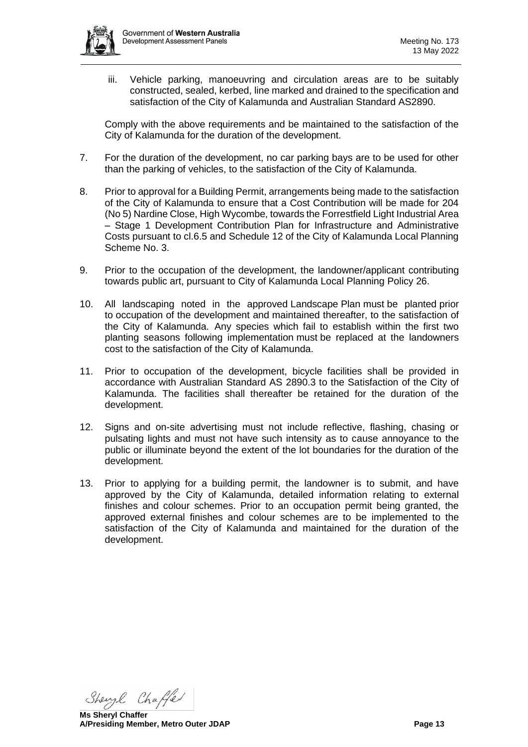

iii. Vehicle parking, manoeuvring and circulation areas are to be suitably constructed, sealed, kerbed, line marked and drained to the specification and satisfaction of the City of Kalamunda and Australian Standard AS2890.

Comply with the above requirements and be maintained to the satisfaction of the City of Kalamunda for the duration of the development.

- 7. For the duration of the development, no car parking bays are to be used for other than the parking of vehicles, to the satisfaction of the City of Kalamunda.
- 8. Prior to approval for a Building Permit, arrangements being made to the satisfaction of the City of Kalamunda to ensure that a Cost Contribution will be made for 204 (No 5) Nardine Close, High Wycombe, towards the Forrestfield Light Industrial Area – Stage 1 Development Contribution Plan for Infrastructure and Administrative Costs pursuant to cl.6.5 and Schedule 12 of the City of Kalamunda Local Planning Scheme No. 3.
- 9. Prior to the occupation of the development, the landowner/applicant contributing towards public art, pursuant to City of Kalamunda Local Planning Policy 26.
- 10. All landscaping noted in the approved Landscape Plan must be planted prior to occupation of the development and maintained thereafter, to the satisfaction of the City of Kalamunda. Any species which fail to establish within the first two planting seasons following implementation must be replaced at the landowners cost to the satisfaction of the City of Kalamunda.
- 11. Prior to occupation of the development, bicycle facilities shall be provided in accordance with Australian Standard AS 2890.3 to the Satisfaction of the City of Kalamunda. The facilities shall thereafter be retained for the duration of the development.
- 12. Signs and on-site advertising must not include reflective, flashing, chasing or pulsating lights and must not have such intensity as to cause annoyance to the public or illuminate beyond the extent of the lot boundaries for the duration of the development.
- 13. Prior to applying for a building permit, the landowner is to submit, and have approved by the City of Kalamunda, detailed information relating to external finishes and colour schemes. Prior to an occupation permit being granted, the approved external finishes and colour schemes are to be implemented to the satisfaction of the City of Kalamunda and maintained for the duration of the development.

Shengl Chaffer

**Ms Sheryl Chaffer A/Presiding Member, Metro Outer JDAP Page 13**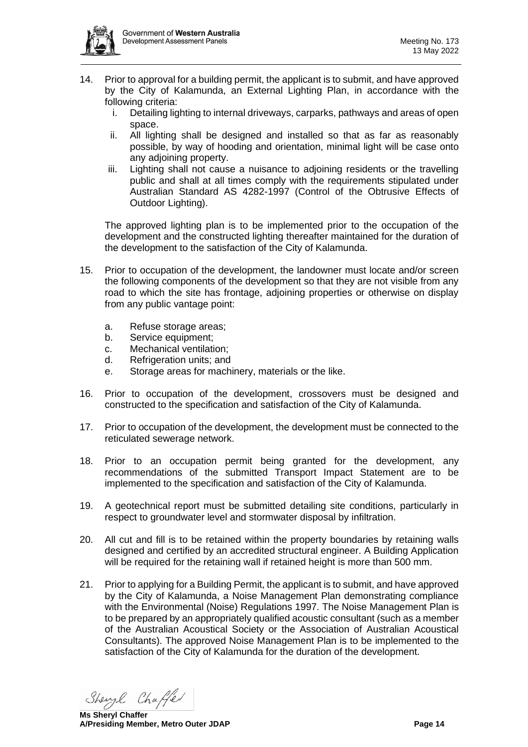- 14. Prior to approval for a building permit, the applicant is to submit, and have approved by the City of Kalamunda, an External Lighting Plan, in accordance with the following criteria:
	- i. Detailing lighting to internal driveways, carparks, pathways and areas of open space.
	- ii. All lighting shall be designed and installed so that as far as reasonably possible, by way of hooding and orientation, minimal light will be case onto any adjoining property.
	- iii. Lighting shall not cause a nuisance to adjoining residents or the travelling public and shall at all times comply with the requirements stipulated under Australian Standard AS 4282-1997 (Control of the Obtrusive Effects of Outdoor Lighting).

The approved lighting plan is to be implemented prior to the occupation of the development and the constructed lighting thereafter maintained for the duration of the development to the satisfaction of the City of Kalamunda.

- 15. Prior to occupation of the development, the landowner must locate and/or screen the following components of the development so that they are not visible from any road to which the site has frontage, adjoining properties or otherwise on display from any public vantage point:
	- a. Refuse storage areas;
	- b. Service equipment;
	- c. Mechanical ventilation;
	- d. Refrigeration units; and
	- e. Storage areas for machinery, materials or the like.
- 16. Prior to occupation of the development, crossovers must be designed and constructed to the specification and satisfaction of the City of Kalamunda.
- 17. Prior to occupation of the development, the development must be connected to the reticulated sewerage network.
- 18. Prior to an occupation permit being granted for the development, any recommendations of the submitted Transport Impact Statement are to be implemented to the specification and satisfaction of the City of Kalamunda.
- 19. A geotechnical report must be submitted detailing site conditions, particularly in respect to groundwater level and stormwater disposal by infiltration.
- 20. All cut and fill is to be retained within the property boundaries by retaining walls designed and certified by an accredited structural engineer. A Building Application will be required for the retaining wall if retained height is more than 500 mm.
- 21. Prior to applying for a Building Permit, the applicant is to submit, and have approved by the City of Kalamunda, a Noise Management Plan demonstrating compliance with the Environmental (Noise) Regulations 1997. The Noise Management Plan is to be prepared by an appropriately qualified acoustic consultant (such as a member of the Australian Acoustical Society or the Association of Australian Acoustical Consultants). The approved Noise Management Plan is to be implemented to the satisfaction of the City of Kalamunda for the duration of the development.

Shengl Chaffer

**Ms Sheryl Chaffer A/Presiding Member, Metro Outer JDAP Page 14**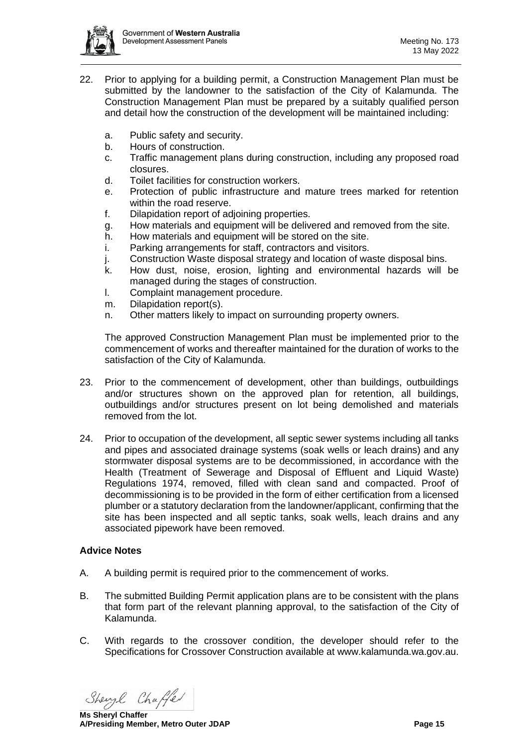

- 22. Prior to applying for a building permit, a Construction Management Plan must be submitted by the landowner to the satisfaction of the City of Kalamunda. The Construction Management Plan must be prepared by a suitably qualified person and detail how the construction of the development will be maintained including:
	- a. Public safety and security.
	- b. Hours of construction.
	- c. Traffic management plans during construction, including any proposed road closures.
	- d. Toilet facilities for construction workers.
	- e. Protection of public infrastructure and mature trees marked for retention within the road reserve.
	- f. Dilapidation report of adjoining properties.
	- g. How materials and equipment will be delivered and removed from the site.
	- h. How materials and equipment will be stored on the site.
	- i. Parking arrangements for staff, contractors and visitors.
	- j. Construction Waste disposal strategy and location of waste disposal bins.
	- k. How dust, noise, erosion, lighting and environmental hazards will be managed during the stages of construction.
	- l. Complaint management procedure.
	- m. Dilapidation report(s).
	- n. Other matters likely to impact on surrounding property owners.

The approved Construction Management Plan must be implemented prior to the commencement of works and thereafter maintained for the duration of works to the satisfaction of the City of Kalamunda.

- 23. Prior to the commencement of development, other than buildings, outbuildings and/or structures shown on the approved plan for retention, all buildings, outbuildings and/or structures present on lot being demolished and materials removed from the lot.
- 24. Prior to occupation of the development, all septic sewer systems including all tanks and pipes and associated drainage systems (soak wells or leach drains) and any stormwater disposal systems are to be decommissioned, in accordance with the Health (Treatment of Sewerage and Disposal of Effluent and Liquid Waste) Regulations 1974, removed, filled with clean sand and compacted. Proof of decommissioning is to be provided in the form of either certification from a licensed plumber or a statutory declaration from the landowner/applicant, confirming that the site has been inspected and all septic tanks, soak wells, leach drains and any associated pipework have been removed.

## **Advice Notes**

- A. A building permit is required prior to the commencement of works.
- B. The submitted Building Permit application plans are to be consistent with the plans that form part of the relevant planning approval, to the satisfaction of the City of Kalamunda.
- C. With regards to the crossover condition, the developer should refer to the Specifications for Crossover Construction available at www.kalamunda.wa.gov.au.

Shengl Chaffer

**Ms Sheryl Chaffer A/Presiding Member, Metro Outer JDAP Page 15**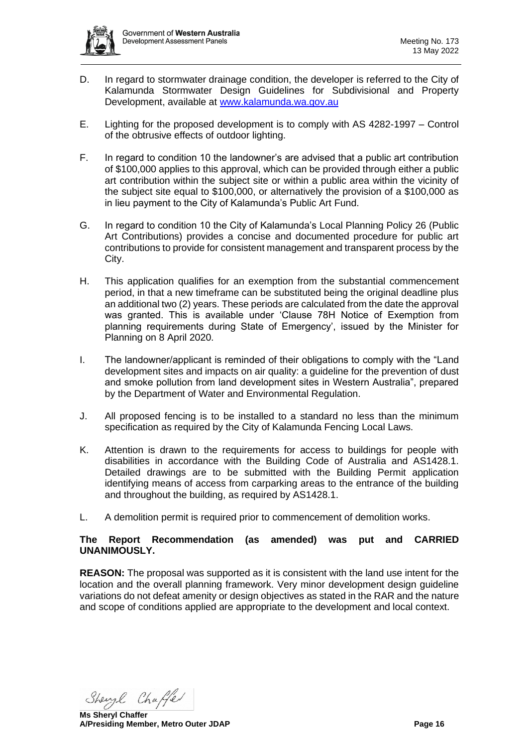- D. In regard to stormwater drainage condition, the developer is referred to the City of Kalamunda Stormwater Design Guidelines for Subdivisional and Property Development, available at [www.kalamunda.wa.gov.au](http://www.kalamunda.wa.gov.au/)
- E. Lighting for the proposed development is to comply with AS 4282-1997 Control of the obtrusive effects of outdoor lighting.
- F. In regard to condition 10 the landowner's are advised that a public art contribution of \$100,000 applies to this approval, which can be provided through either a public art contribution within the subject site or within a public area within the vicinity of the subject site equal to \$100,000, or alternatively the provision of a \$100,000 as in lieu payment to the City of Kalamunda's Public Art Fund.
- G. In regard to condition 10 the City of Kalamunda's Local Planning Policy 26 (Public Art Contributions) provides a concise and documented procedure for public art contributions to provide for consistent management and transparent process by the City.
- H. This application qualifies for an exemption from the substantial commencement period, in that a new timeframe can be substituted being the original deadline plus an additional two (2) years. These periods are calculated from the date the approval was granted. This is available under 'Clause 78H Notice of Exemption from planning requirements during State of Emergency', issued by the Minister for Planning on 8 April 2020.
- I. The landowner/applicant is reminded of their obligations to comply with the "Land development sites and impacts on air quality: a guideline for the prevention of dust and smoke pollution from land development sites in Western Australia", prepared by the Department of Water and Environmental Regulation.
- J. All proposed fencing is to be installed to a standard no less than the minimum specification as required by the City of Kalamunda Fencing Local Laws.
- K. Attention is drawn to the requirements for access to buildings for people with disabilities in accordance with the Building Code of Australia and AS1428.1. Detailed drawings are to be submitted with the Building Permit application identifying means of access from carparking areas to the entrance of the building and throughout the building, as required by AS1428.1.
- L. A demolition permit is required prior to commencement of demolition works.

## **The Report Recommendation (as amended) was put and CARRIED UNANIMOUSLY.**

<span id="page-15-0"></span>**REASON:** The proposal was supported as it is consistent with the land use intent for the location and the overall planning framework. Very minor development design guideline variations do not defeat amenity or design objectives as stated in the RAR and the nature and scope of conditions applied are appropriate to the development and local context.

Shengl Chaffer

**Ms Sheryl Chaffer A/Presiding Member, Metro Outer JDAP Page 16**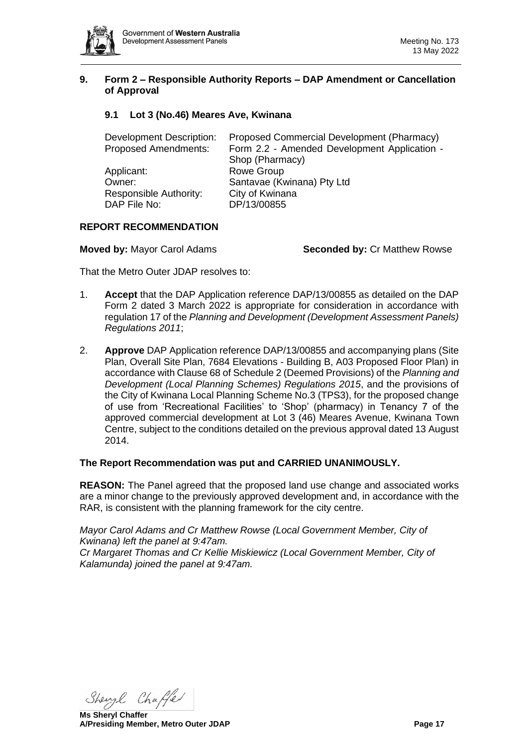

#### **9. Form 2 – Responsible Authority Reports – DAP Amendment or Cancellation of Approval**

# <span id="page-16-0"></span>**9.1 Lot 3 (No.46) Meares Ave, Kwinana**

| Development Description:    | Proposed Commercial Development (Pharmacy)   |  |
|-----------------------------|----------------------------------------------|--|
| <b>Proposed Amendments:</b> | Form 2.2 - Amended Development Application - |  |
|                             | Shop (Pharmacy)                              |  |
| Applicant:                  | Rowe Group                                   |  |
| Owner:                      | Santavae (Kwinana) Pty Ltd                   |  |
| Responsible Authority:      | City of Kwinana                              |  |
| DAP File No:                | DP/13/00855                                  |  |

#### **REPORT RECOMMENDATION**

**Moved by:** Mayor Carol Adams **Seconded by:** Cr Matthew Rowse

That the Metro Outer JDAP resolves to:

- 1. **Accept** that the DAP Application reference DAP/13/00855 as detailed on the DAP Form 2 dated 3 March 2022 is appropriate for consideration in accordance with regulation 17 of the *Planning and Development (Development Assessment Panels) Regulations 2011*;
- 2. **Approve** DAP Application reference DAP/13/00855 and accompanying plans (Site Plan, Overall Site Plan, 7684 Elevations - Building B, A03 Proposed Floor Plan) in accordance with Clause 68 of Schedule 2 (Deemed Provisions) of the *Planning and Development (Local Planning Schemes) Regulations 2015*, and the provisions of the City of Kwinana Local Planning Scheme No.3 (TPS3), for the proposed change of use from 'Recreational Facilities' to 'Shop' (pharmacy) in Tenancy 7 of the approved commercial development at Lot 3 (46) Meares Avenue, Kwinana Town Centre, subject to the conditions detailed on the previous approval dated 13 August 2014.

#### **The Report Recommendation was put and CARRIED UNANIMOUSLY.**

**REASON:** The Panel agreed that the proposed land use change and associated works are a minor change to the previously approved development and, in accordance with the RAR, is consistent with the planning framework for the city centre.

*Mayor Carol Adams and Cr Matthew Rowse (Local Government Member, City of Kwinana) left the panel at 9:47am. Cr Margaret Thomas and Cr Kellie Miskiewicz (Local Government Member, City of Kalamunda) joined the panel at 9:47am.*

Shengl Chaffer

**Ms Sheryl Chaffer A/Presiding Member, Metro Outer JDAP Page 17**